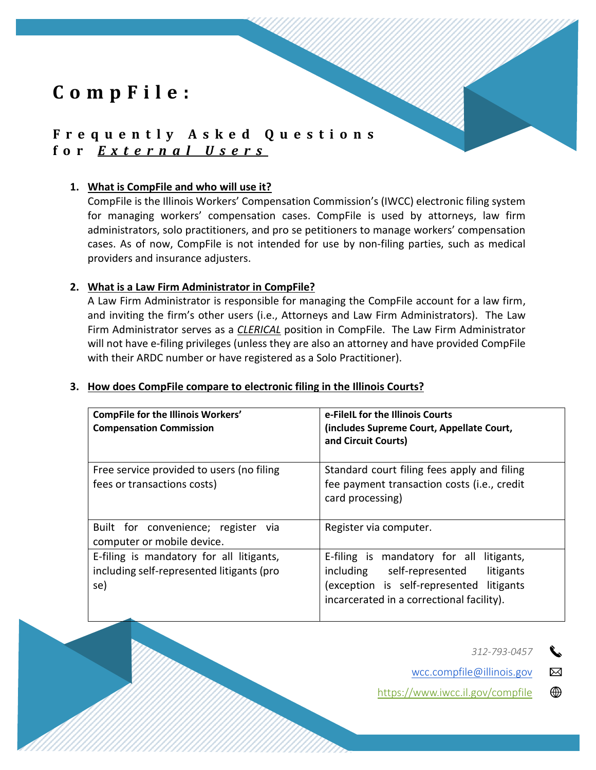# **F r e q u e n t l y A s k e d Q u e s t i o n s f o r** *E x t e r n a l U s e r s*

### **1. What is CompFile and who will use it?**

CompFile is the Illinois Workers' Compensation Commission's (IWCC) electronic filing system for managing workers' compensation cases. CompFile is used by attorneys, law firm administrators, solo practitioners, and pro se petitioners to manage workers' compensation cases. As of now, CompFile is not intended for use by non-filing parties, such as medical providers and insurance adjusters.

### **2. What is a Law Firm Administrator in CompFile?**

A Law Firm Administrator is responsible for managing the CompFile account for a law firm, and inviting the firm's other users (i.e., Attorneys and Law Firm Administrators). The Law Firm Administrator serves as a *CLERICAL* position in CompFile. The Law Firm Administrator will not have e-filing privileges (unless they are also an attorney and have provided CompFile with their ARDC number or have registered as a Solo Practitioner).

### **3. How does CompFile compare to electronic filing in the Illinois Courts?**

| <b>CompFile for the Illinois Workers'</b><br><b>Compensation Commission</b>                  | e-FileIL for the Illinois Courts<br>(includes Supreme Court, Appellate Court,<br>and Circuit Courts)                                                                         |
|----------------------------------------------------------------------------------------------|------------------------------------------------------------------------------------------------------------------------------------------------------------------------------|
| Free service provided to users (no filing<br>fees or transactions costs)                     | Standard court filing fees apply and filing<br>fee payment transaction costs (i.e., credit<br>card processing)                                                               |
| Built for convenience; register via<br>computer or mobile device.                            | Register via computer.                                                                                                                                                       |
| E-filing is mandatory for all litigants,<br>including self-represented litigants (pro<br>se) | E-filing is mandatory for all litigants,<br>including self-represented<br>litigants<br>(exception is self-represented litigants<br>incarcerated in a correctional facility). |

*312-793-0457*

wcc.compfile@illinois.gov ⊠

<https://www.iwcc.il.gov/compfile> ⊕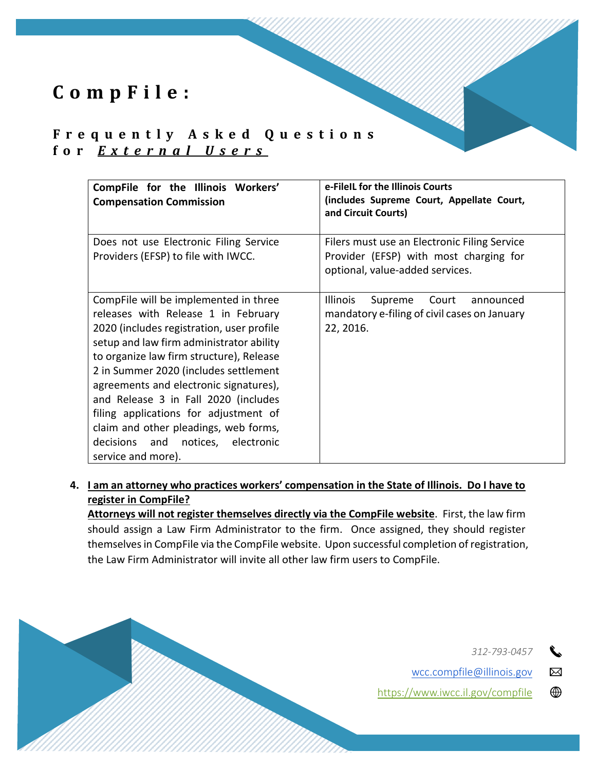## **F r e q u e n t l y A s k e d Q u e s t i o n s f o r** *E x t e r n a l U s e r s*

| CompFile for the Illinois Workers'<br><b>Compensation Commission</b>                                                                                                                                                                                                                                                                                                                                                                                                                      | e-FileIL for the Illinois Courts<br>(includes Supreme Court, Appellate Court,<br>and Circuit Courts)                      |
|-------------------------------------------------------------------------------------------------------------------------------------------------------------------------------------------------------------------------------------------------------------------------------------------------------------------------------------------------------------------------------------------------------------------------------------------------------------------------------------------|---------------------------------------------------------------------------------------------------------------------------|
| Does not use Electronic Filing Service<br>Providers (EFSP) to file with IWCC.                                                                                                                                                                                                                                                                                                                                                                                                             | Filers must use an Electronic Filing Service<br>Provider (EFSP) with most charging for<br>optional, value-added services. |
| CompFile will be implemented in three<br>releases with Release 1 in February<br>2020 (includes registration, user profile<br>setup and law firm administrator ability<br>to organize law firm structure), Release<br>2 in Summer 2020 (includes settlement<br>agreements and electronic signatures),<br>and Release 3 in Fall 2020 (includes<br>filing applications for adjustment of<br>claim and other pleadings, web forms,<br>decisions and notices, electronic<br>service and more). | <b>Illinois</b><br>Court<br>Supreme<br>announced<br>mandatory e-filing of civil cases on January<br>22, 2016.             |

**4. I am an attorney who practices workers' compensation in the State of Illinois. Do I have to register in CompFile?** 

**Attorneys will not register themselves directly via the CompFile website**. First, the law firm should assign a Law Firm Administrator to the firm. Once assigned, they should register themselves in CompFile via the CompFile website. Upon successful completion of registration, the Law Firm Administrator will invite all other law firm users to CompFile.

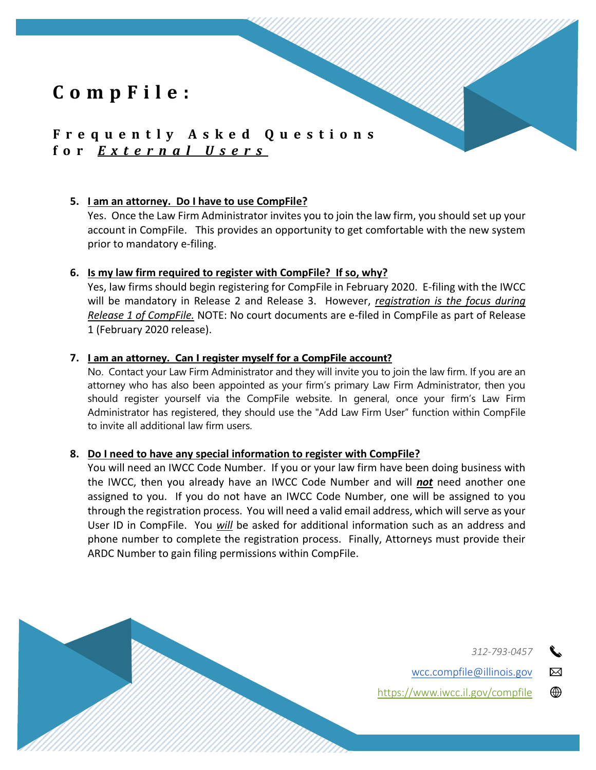## **F r e q u e n t l y A s k e d Q u e s t i o n s f o r** *E x t e r n a l U s e r s*

#### **5. I am an attorney. Do I have to use CompFile?**

Yes. Once the Law Firm Administrator invites you to join the law firm, you should set up your account in CompFile. This provides an opportunity to get comfortable with the new system prior to mandatory e-filing.

#### **6. Is my law firm required to register with CompFile? If so, why?**

Yes, law firms should begin registering for CompFile in February 2020. E-filing with the IWCC will be mandatory in Release 2 and Release 3. However, *registration is the focus during Release 1 of CompFile.* NOTE: No court documents are e-filed in CompFile as part of Release 1 (February 2020 release).

### **7. I am an attorney. Can I register myself for a CompFile account?**

No. Contact your Law Firm Administrator and they will invite you to join the law firm. If you are an attorney who has also been appointed as your firm's primary Law Firm Administrator, then you should register yourself via the CompFile website. In general, once your firm's Law Firm Administrator has registered, they should use the "Add Law Firm User" function within CompFile to invite all additional law firm users.

### **8. Do I need to have any special information to register with CompFile?**

You will need an IWCC Code Number. If you or your law firm have been doing business with the IWCC, then you already have an IWCC Code Number and will *not* need another one assigned to you. If you do not have an IWCC Code Number, one will be assigned to you through the registration process. You will need a valid email address, which will serve as your User ID in CompFile. You *will* be asked for additional information such as an address and phone number to complete the registration process. Finally, Attorneys must provide their ARDC Number to gain filing permissions within CompFile.

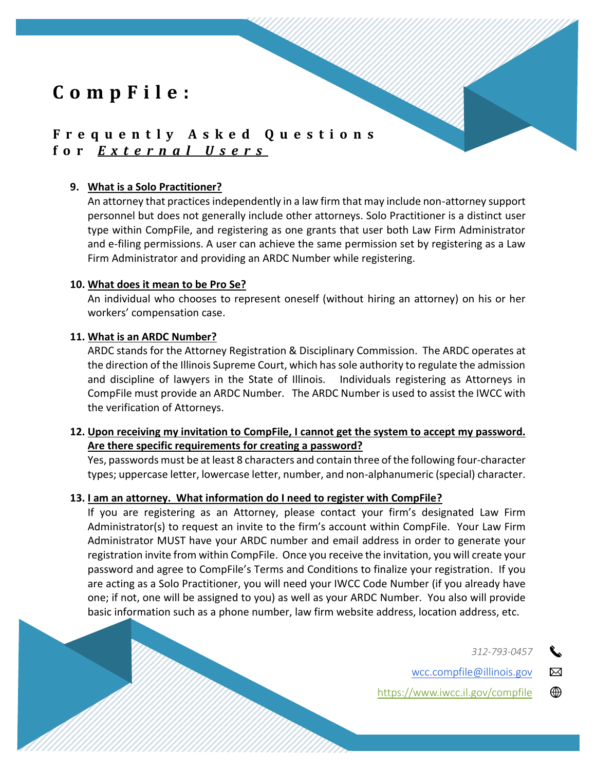# **F r e q u e n t l y A s k e d Q u e s t i o n s f o r** *E x t e r n a l U s e r s*

## **9. What is a Solo Practitioner?**

An attorney that practices independently in a law firm that may include non-attorney support personnel but does not generally include other attorneys. Solo Practitioner is a distinct user type within CompFile, and registering as one grants that user both Law Firm Administrator and e-filing permissions. A user can achieve the same permission set by registering as a Law Firm Administrator and providing an ARDC Number while registering.

### **10. What does it mean to be Pro Se?**

An individual who chooses to represent oneself (without hiring an attorney) on his or her workers' compensation case.

### **11. What is an ARDC Number?**

ARDC stands for the Attorney Registration & Disciplinary Commission. The ARDC operates at the direction of the Illinois Supreme Court, which has sole authority to regulate the admission and discipline of lawyers in the State of Illinois. Individuals registering as Attorneys in CompFile must provide an ARDC Number. The ARDC Number is used to assist the IWCC with the verification of Attorneys.

## **12. Upon receiving my invitation to CompFile, I cannot get the system to accept my password. Are there specific requirements for creating a password?**

Yes, passwords must be at least 8 characters and contain three of the following four-character types; uppercase letter, lowercase letter, number, and non-alphanumeric (special) character.

### **13. I am an attorney. What information do I need to register with CompFile?**

If you are registering as an Attorney, please contact your firm's designated Law Firm Administrator(s) to request an invite to the firm's account within CompFile. Your Law Firm Administrator MUST have your ARDC number and email address in order to generate your registration invite from within CompFile. Once you receive the invitation, you will create your password and agree to CompFile's Terms and Conditions to finalize your registration. If you are acting as a Solo Practitioner, you will need your IWCC Code Number (if you already have one; if not, one will be assigned to you) as well as your ARDC Number. You also will provide basic information such as a phone number, law firm website address, location address, etc.

*312-793-0457*

wcc.compfile@illinois.gov

<https://www.iwcc.il.gov/compfile>

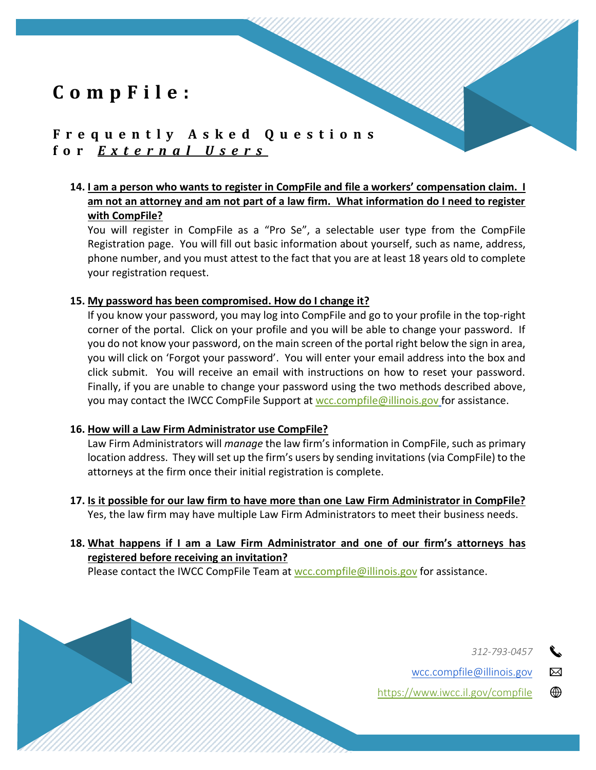## **F r e q u e n t l y A s k e d Q u e s t i o n s f o r** *E x t e r n a l U s e r s*

## **14. I am a person who wants to register in CompFile and file a workers' compensation claim. I am not an attorney and am not part of a law firm. What information do I need to register with CompFile?**

You will register in CompFile as a "Pro Se", a selectable user type from the CompFile Registration page. You will fill out basic information about yourself, such as name, address, phone number, and you must attest to the fact that you are at least 18 years old to complete your registration request.

#### **15. My password has been compromised. How do I change it?**

If you know your password, you may log into CompFile and go to your profile in the top-right corner of the portal. Click on your profile and you will be able to change your password. If you do not know your password, on the main screen of the portal right below the sign in area, you will click on 'Forgot your password'. You will enter your email address into the box and click submit. You will receive an email with instructions on how to reset your password. Finally, if you are unable to change your password using the two methods described above, you may contact the IWCC CompFile Support at [wcc.compfile@illinois.gov](mailto:wcc.compfile@illinois.gov) for assistance.

### **16. How will a Law Firm Administrator use CompFile?**

Law Firm Administrators will *manage* the law firm's information in CompFile, such as primary location address. They will set up the firm's users by sending invitations (via CompFile) to the attorneys at the firm once their initial registration is complete.

**17. Is it possible for our law firm to have more than one Law Firm Administrator in CompFile?**  Yes, the law firm may have multiple Law Firm Administrators to meet their business needs.

## **18. What happens if I am a Law Firm Administrator and one of our firm's attorneys has registered before receiving an invitation?**

Please contact the IWCC CompFile Team at [wcc.compfile@illinois.gov](mailto:wcc.compfile@illinois.gov) for assistance.

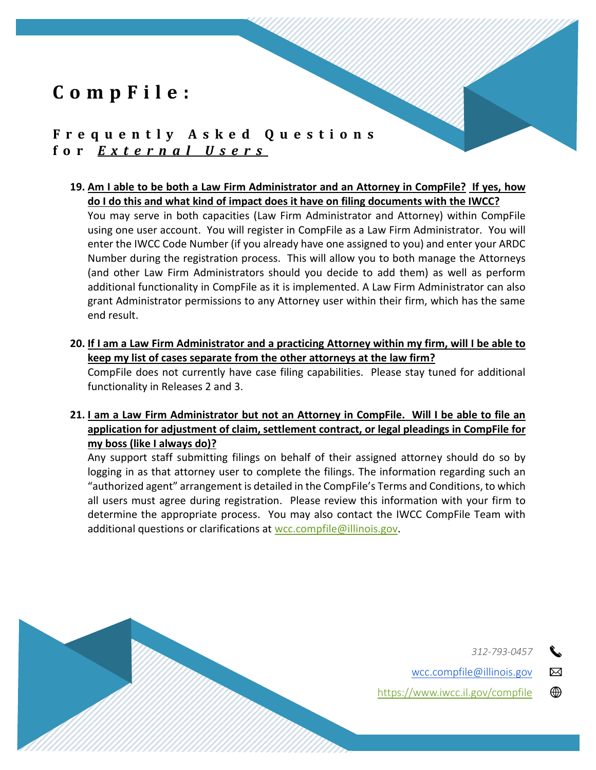## **F r e q u e n t l y A s k e d Q u e s t i o n s f o r** *E x t e r n a l U s e r s*

**19. Am I able to be both a Law Firm Administrator and an Attorney in CompFile? If yes, how do I do this and what kind of impact does it have on filing documents with the IWCC?** 

You may serve in both capacities (Law Firm Administrator and Attorney) within CompFile using one user account. You will register in CompFile as a Law Firm Administrator. You will enter the IWCC Code Number (if you already have one assigned to you) and enter your ARDC Number during the registration process. This will allow you to both manage the Attorneys (and other Law Firm Administrators should you decide to add them) as well as perform additional functionality in CompFile as it is implemented. A Law Firm Administrator can also grant Administrator permissions to any Attorney user within their firm, which has the same end result.

**20. If I am a Law Firm Administrator and a practicing Attorney within my firm, will I be able to keep my list of cases separate from the other attorneys at the law firm?**

CompFile does not currently have case filing capabilities. Please stay tuned for additional functionality in Releases 2 and 3.

**21. I am a Law Firm Administrator but not an Attorney in CompFile. Will I be able to file an application for adjustment of claim, settlement contract, or legal pleadings in CompFile for my boss (like I always do)?**

Any support staff submitting filings on behalf of their assigned attorney should do so by logging in as that attorney user to complete the filings. The information regarding such an "authorized agent" arrangement is detailed in the CompFile's Terms and Conditions, to which all users must agree during registration. Please review this information with your firm to determine the appropriate process. You may also contact the IWCC CompFile Team with additional questions or clarifications at [wcc.compfile@illinois.gov.](mailto:wcc.compfile@illinois.gov)

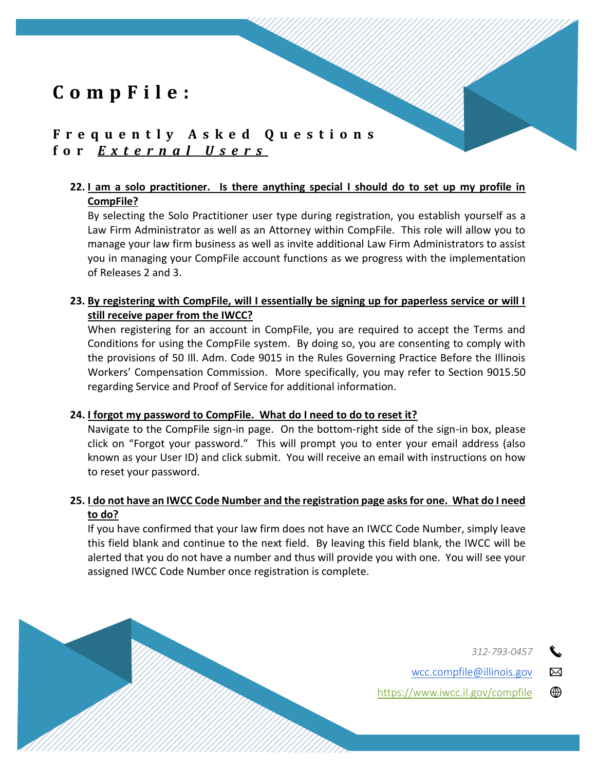## **F r e q u e n t l y A s k e d Q u e s t i o n s f o r** *E x t e r n a l U s e r s*

## **22. I am a solo practitioner. Is there anything special I should do to set up my profile in CompFile?**

By selecting the Solo Practitioner user type during registration, you establish yourself as a Law Firm Administrator as well as an Attorney within CompFile. This role will allow you to manage your law firm business as well as invite additional Law Firm Administrators to assist you in managing your CompFile account functions as we progress with the implementation of Releases 2 and 3.

## **23. By registering with CompFile, will I essentially be signing up for paperless service or will I still receive paper from the IWCC?**

When registering for an account in CompFile, you are required to accept the Terms and Conditions for using the CompFile system. By doing so, you are consenting to comply with the provisions of 50 Ill. Adm. Code 9015 in the Rules Governing Practice Before the Illinois Workers' Compensation Commission. More specifically, you may refer to Section 9015.50 regarding Service and Proof of Service for additional information.

### **24. I forgot my password to CompFile. What do I need to do to reset it?**

Navigate to the CompFile sign-in page. On the bottom-right side of the sign-in box, please click on "Forgot your password." This will prompt you to enter your email address (also known as your User ID) and click submit. You will receive an email with instructions on how to reset your password.

## **25. I do not have an IWCC Code Number and the registration page asks for one. What do I need to do?**

If you have confirmed that your law firm does not have an IWCC Code Number, simply leave this field blank and continue to the next field. By leaving this field blank, the IWCC will be alerted that you do not have a number and thus will provide you with one. You will see your assigned IWCC Code Number once registration is complete.

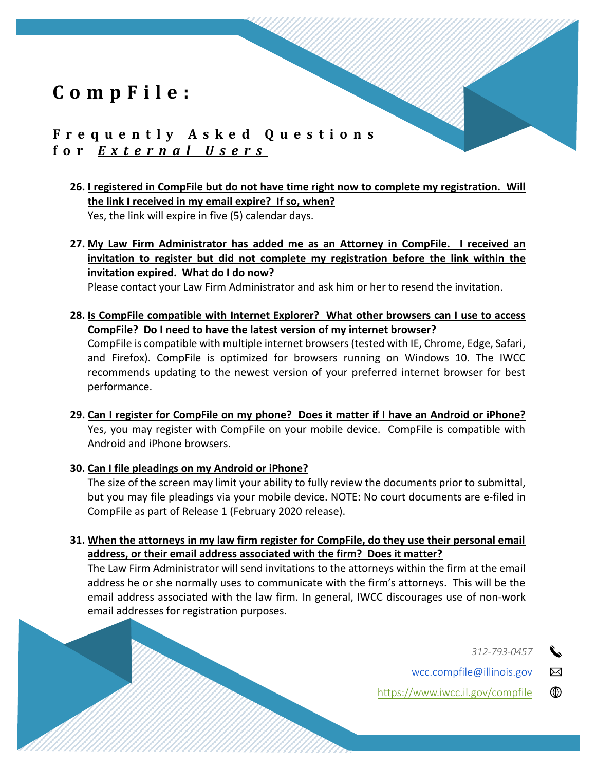# **F r e q u e n t l y A s k e d Q u e s t i o n s f o r** *E x t e r n a l U s e r s*

**26. I registered in CompFile but do not have time right now to complete my registration. Will the link I received in my email expire? If so, when?** Yes, the link will expire in five (5) calendar days.

**27. My Law Firm Administrator has added me as an Attorney in CompFile. I received an invitation to register but did not complete my registration before the link within the invitation expired. What do I do now?**

Please contact your Law Firm Administrator and ask him or her to resend the invitation.

**28. Is CompFile compatible with Internet Explorer? What other browsers can I use to access CompFile? Do I need to have the latest version of my internet browser?**

CompFile is compatible with multiple internet browsers (tested with IE, Chrome, Edge, Safari, and Firefox). CompFile is optimized for browsers running on Windows 10. The IWCC recommends updating to the newest version of your preferred internet browser for best performance.

- **29. Can I register for CompFile on my phone? Does it matter if I have an Android or iPhone?** Yes, you may register with CompFile on your mobile device. CompFile is compatible with Android and iPhone browsers.
- **30. Can I file pleadings on my Android or iPhone?** The size of the screen may limit your ability to fully review the documents prior to submittal, but you may file pleadings via your mobile device. NOTE: No court documents are e-filed in CompFile as part of Release 1 (February 2020 release).
- **31. When the attorneys in my law firm register for CompFile, do they use their personal email address, or their email address associated with the firm? Does it matter?**

The Law Firm Administrator will send invitations to the attorneys within the firm at the email address he or she normally uses to communicate with the firm's attorneys. This will be the email address associated with the law firm. In general, IWCC discourages use of non-work email addresses for registration purposes.

*312-793-0457*

wcc.compfile@illinois.gov

<https://www.iwcc.il.gov/compfile>

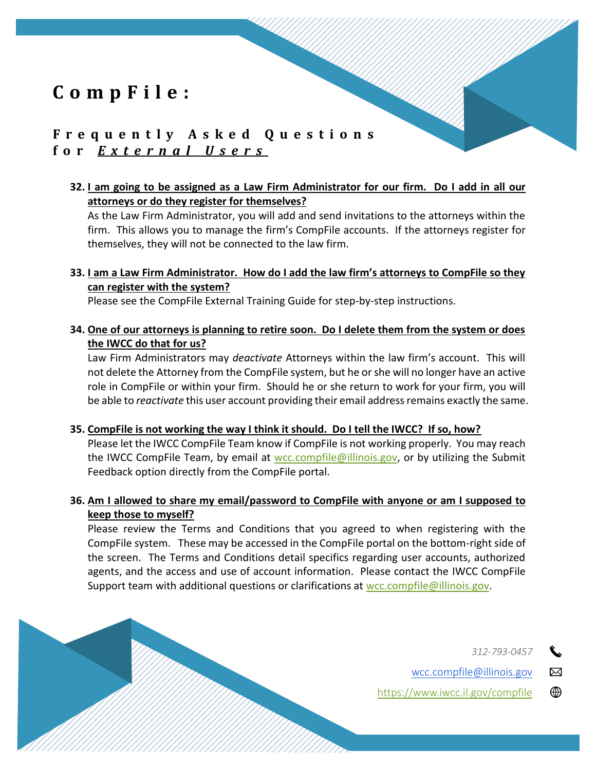## **F r e q u e n t l y A s k e d Q u e s t i o n s f o r** *E x t e r n a l U s e r s*

### **32. I am going to be assigned as a Law Firm Administrator for our firm. Do I add in all our attorneys or do they register for themselves?**

As the Law Firm Administrator, you will add and send invitations to the attorneys within the firm. This allows you to manage the firm's CompFile accounts. If the attorneys register for themselves, they will not be connected to the law firm.

### **33. I am a Law Firm Administrator. How do I add the law firm's attorneys to CompFile so they can register with the system?**

Please see the CompFile External Training Guide for step-by-step instructions.

**34. One of our attorneys is planning to retire soon. Do I delete them from the system or does the IWCC do that for us?**

Law Firm Administrators may *deactivate* Attorneys within the law firm's account. This will not delete the Attorney from the CompFile system, but he or she will no longer have an active role in CompFile or within your firm. Should he or she return to work for your firm, you will be able to *reactivate* this user account providing their email address remains exactly the same.

**35. CompFile is not working the way I think it should. Do I tell the IWCC? If so, how?**

Please let the IWCC CompFile Team know if CompFile is not working properly. You may reach the IWCC CompFile Team, by email at [wcc.compfile@illinois.gov,](mailto:wcc.compfile@illinois.gov) or by utilizing the Submit Feedback option directly from the CompFile portal.

## **36. Am I allowed to share my email/password to CompFile with anyone or am I supposed to keep those to myself?**

Please review the Terms and Conditions that you agreed to when registering with the CompFile system. These may be accessed in the CompFile portal on the bottom-right side of the screen. The Terms and Conditions detail specifics regarding user accounts, authorized agents, and the access and use of account information. Please contact the IWCC CompFile Support team with additional questions or clarifications at [wcc.compfile@illinois.gov.](mailto:wcc.compfile@illinois.gov)

*312-793-0457*

⊠

wcc.compfile@illinois.gov

⊕ <https://www.iwcc.il.gov/compfile>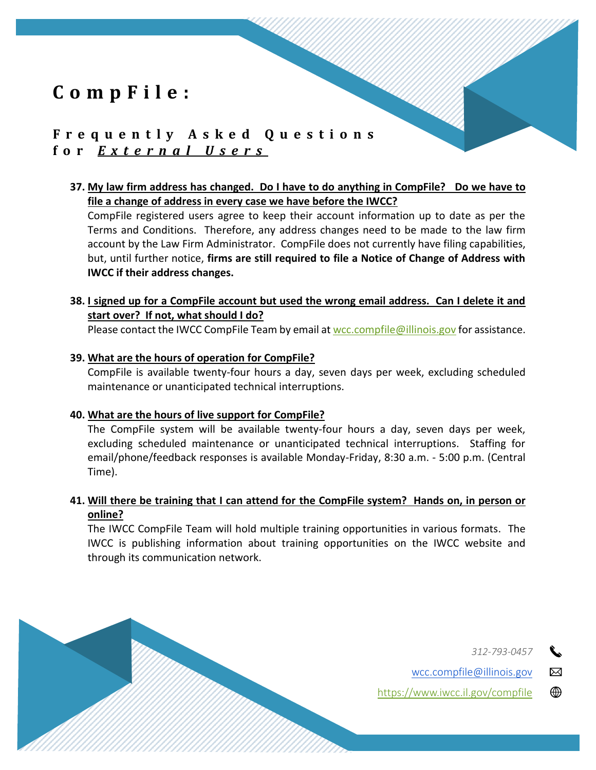## **F r e q u e n t l y A s k e d Q u e s t i o n s f o r** *E x t e r n a l U s e r s*

### **37. My law firm address has changed. Do I have to do anything in CompFile? Do we have to file a change of address in every case we have before the IWCC?**

CompFile registered users agree to keep their account information up to date as per the Terms and Conditions. Therefore, any address changes need to be made to the law firm account by the Law Firm Administrator. CompFile does not currently have filing capabilities, but, until further notice, **firms are still required to file a Notice of Change of Address with IWCC if their address changes.**

## **38. I signed up for a CompFile account but used the wrong email address. Can I delete it and start over? If not, what should I do?**

Please contact the IWCC CompFile Team by email at [wcc.compfile@illinois.gov](mailto:wcc.compfile@illinois.gov) for assistance.

#### **39. What are the hours of operation for CompFile?**

CompFile is available twenty-four hours a day, seven days per week, excluding scheduled maintenance or unanticipated technical interruptions.

#### **40. What are the hours of live support for CompFile?**

The CompFile system will be available twenty-four hours a day, seven days per week, excluding scheduled maintenance or unanticipated technical interruptions. Staffing for email/phone/feedback responses is available Monday-Friday, 8:30 a.m. - 5:00 p.m. (Central Time).

## **41. Will there be training that I can attend for the CompFile system? Hands on, in person or online?**

The IWCC CompFile Team will hold multiple training opportunities in various formats. The IWCC is publishing information about training opportunities on the IWCC website and through its communication network.

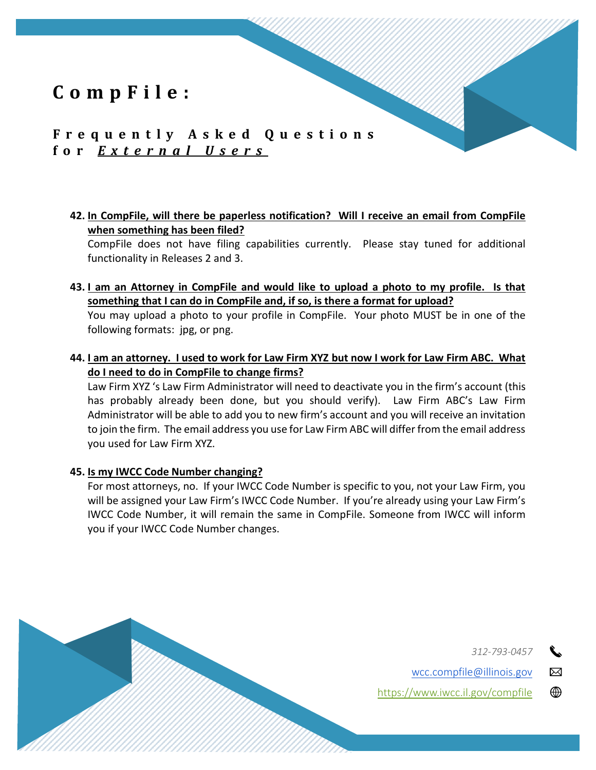## **F r e q u e n t l y A s k e d Q u e s t i o n s f o r** *E x t e r n a l U s e r s*

**42. In CompFile, will there be paperless notification? Will I receive an email from CompFile when something has been filed?**

CompFile does not have filing capabilities currently. Please stay tuned for additional functionality in Releases 2 and 3.

**43. I am an Attorney in CompFile and would like to upload a photo to my profile. Is that something that I can do in CompFile and, if so, is there a format for upload?**

You may upload a photo to your profile in CompFile. Your photo MUST be in one of the following formats: jpg, or png.

**44. I am an attorney. I used to work for Law Firm XYZ but now I work for Law Firm ABC. What do I need to do in CompFile to change firms?**

Law Firm XYZ 's Law Firm Administrator will need to deactivate you in the firm's account (this has probably already been done, but you should verify). Law Firm ABC's Law Firm Administrator will be able to add you to new firm's account and you will receive an invitation to join the firm. The email address you use for Law Firm ABC will differ from the email address you used for Law Firm XYZ.

#### **45. Is my IWCC Code Number changing?**

For most attorneys, no. If your IWCC Code Number is specific to you, not your Law Firm, you will be assigned your Law Firm's IWCC Code Number. If you're already using your Law Firm's IWCC Code Number, it will remain the same in CompFile. Someone from IWCC will inform you if your IWCC Code Number changes.